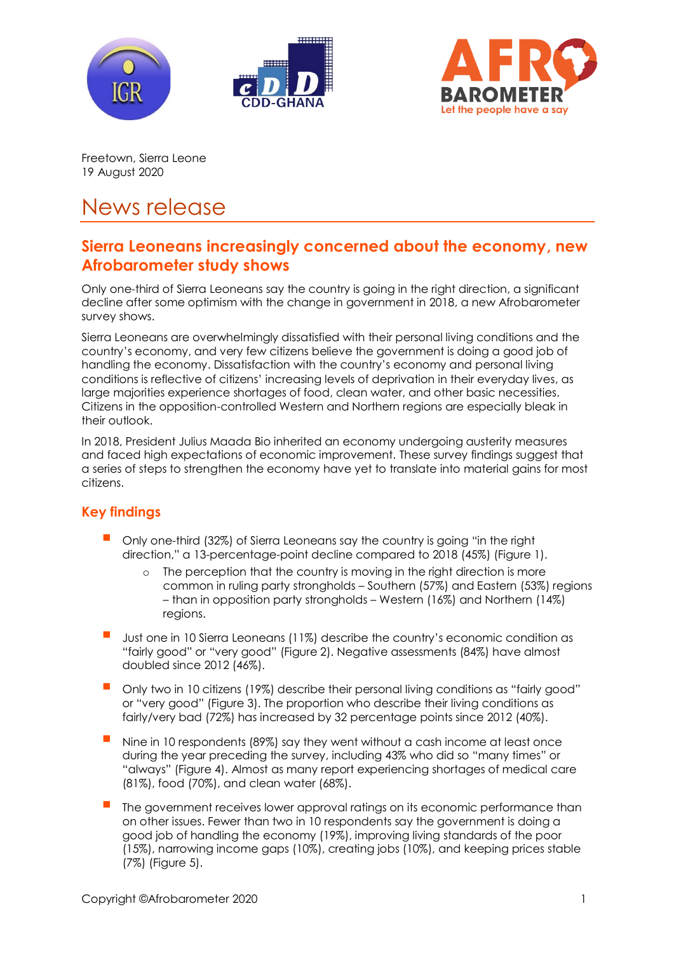





Freetown, Sierra Leone 19 August 2020

# News release

# **Sierra Leoneans increasingly concerned about the economy, new Afrobarometer study shows**

Only one-third of Sierra Leoneans say the country is going in the right direction, a significant decline after some optimism with the change in government in 2018, a new Afrobarometer survey shows.

Sierra Leoneans are overwhelmingly dissatisfied with their personal living conditions and the country's economy, and very few citizens believe the government is doing a good job of handling the economy. Dissatisfaction with the country's economy and personal living conditions is reflective of citizens' increasing levels of deprivation in their everyday lives, as large majorities experience shortages of food, clean water, and other basic necessities. Citizens in the opposition-controlled Western and Northern regions are especially bleak in their outlook.

In 2018, President Julius Maada Bio inherited an economy undergoing austerity measures and faced high expectations of economic improvement. These survey findings suggest that a series of steps to strengthen the economy have yet to translate into material gains for most citizens.

## **Key findings**

- Only one-third (32%) of Sierra Leoneans say the country is going "in the right direction," a 13-percentage-point decline compared to 2018 (45%) (Figure 1).
	- o The perception that the country is moving in the right direction is more common in ruling party strongholds – Southern (57%) and Eastern (53%) regions – than in opposition party strongholds – Western (16%) and Northern (14%) regions.
- Just one in 10 Sierra Leoneans (11%) describe the country's economic condition as "fairly good" or "very good" (Figure 2). Negative assessments (84%) have almost doubled since 2012 (46%).
- Only two in 10 citizens (19%) describe their personal living conditions as "fairly good" or "very good" (Figure 3). The proportion who describe their living conditions as fairly/very bad (72%) has increased by 32 percentage points since 2012 (40%).
- Nine in 10 respondents (89%) say they went without a cash income at least once during the year preceding the survey, including 43% who did so "many times" or "always" (Figure 4). Almost as many report experiencing shortages of medical care (81%), food (70%), and clean water (68%).
- The government receives lower approval ratings on its economic performance than on other issues. Fewer than two in 10 respondents say the government is doing a good job of handling the economy (19%), improving living standards of the poor (15%), narrowing income gaps (10%), creating jobs (10%), and keeping prices stable (7%) (Figure 5).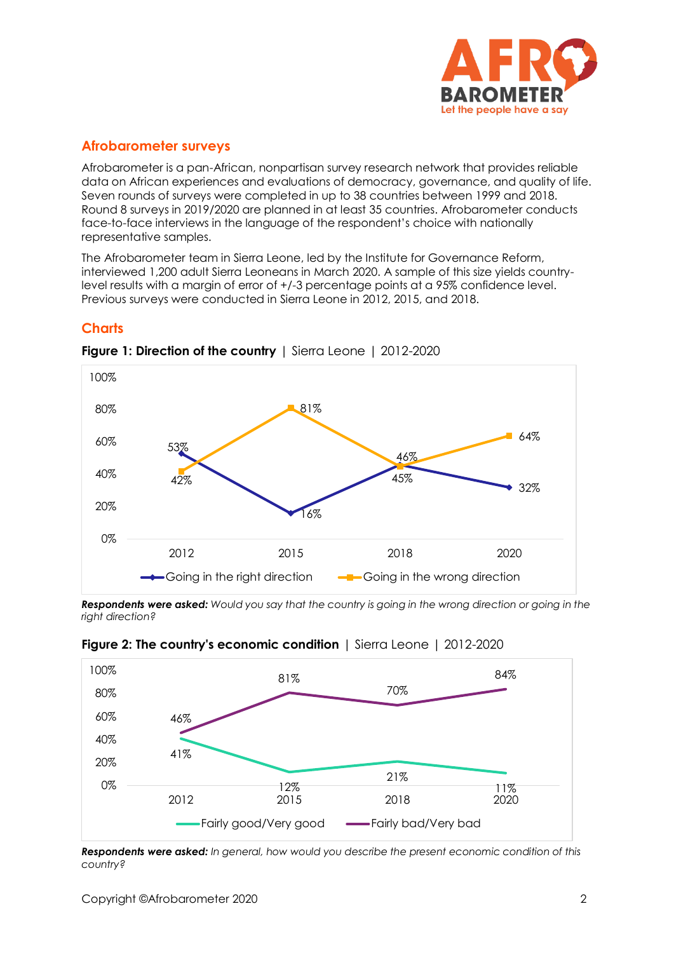

## **Afrobarometer surveys**

Afrobarometer is a pan-African, nonpartisan survey research network that provides reliable data on African experiences and evaluations of democracy, governance, and quality of life. Seven rounds of surveys were completed in up to 38 countries between 1999 and 2018. Round 8 surveys in 2019/2020 are planned in at least 35 countries. Afrobarometer conducts face-to-face interviews in the language of the respondent's choice with nationally representative samples.

The Afrobarometer team in Sierra Leone, led by the Institute for Governance Reform, interviewed 1,200 adult Sierra Leoneans in March 2020. A sample of this size yields countrylevel results with a margin of error of +/-3 percentage points at a 95% confidence level. Previous surveys were conducted in Sierra Leone in 2012, 2015, and 2018.

### **Charts**



**Figure 1: Direction of the country** | Sierra Leone | 2012-2020

*Respondents were asked: Would you say that the country is going in the wrong direction or going in the right direction?*



**Figure 2: The country's economic condition** | Sierra Leone | 2012-2020

*Respondents were asked: In general, how would you describe the present economic condition of this country?*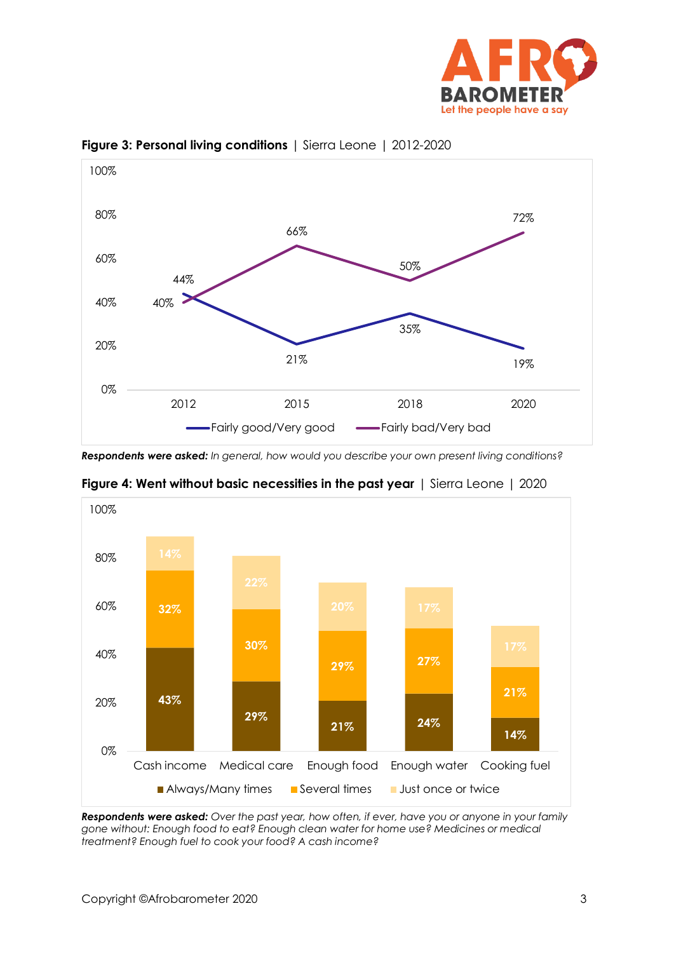



**Figure 3: Personal living conditions** | Sierra Leone | 2012-2020

*Respondents were asked: In general, how would you describe your own present living conditions?* 



**Figure 4: Went without basic necessities in the past year** | Sierra Leone | 2020

*Respondents were asked: Over the past year, how often, if ever, have you or anyone in your family gone without: Enough food to eat? Enough clean water for home use? Medicines or medical treatment? Enough fuel to cook your food? A cash income?*